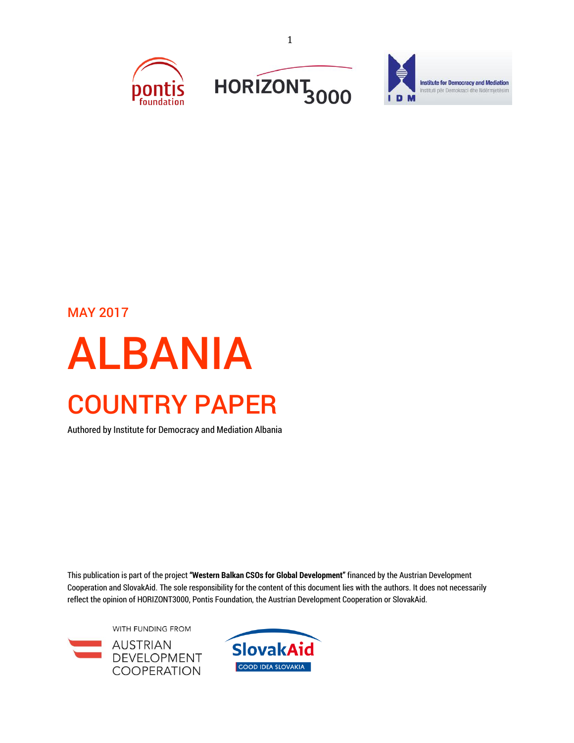



## MAY 2017

# ALBANIA COUNTRY PAPER

Authored by Institute for Democracy and Mediation Albania

This publication is part of the project **"Western Balkan CSOs for Global Development"** financed by the Austrian Development Cooperation and SlovakAid. The sole responsibility for the content of this document lies with the authors. It does not necessarily reflect the opinion of HORIZONT3000, Pontis Foundation, the Austrian Development Cooperation or SlovakAid.

WITH FUNDING FROM **AUSTRIAN** DEVELOPMENT **COOPERATION** 

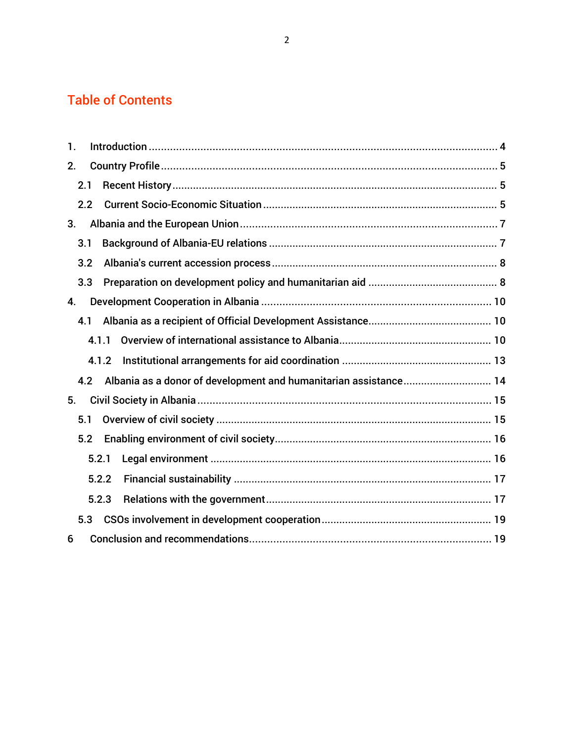## Table of Contents

| 1.  |       |       |                                                                  |  |
|-----|-------|-------|------------------------------------------------------------------|--|
| 2.  |       |       |                                                                  |  |
| 2.1 |       |       |                                                                  |  |
|     | 2.2   |       |                                                                  |  |
| 3.  |       |       |                                                                  |  |
| 3.1 |       |       |                                                                  |  |
|     | 3.2   |       |                                                                  |  |
|     | 3.3   |       |                                                                  |  |
| 4.  |       |       |                                                                  |  |
| 4.1 |       |       |                                                                  |  |
|     | 4.1.1 |       |                                                                  |  |
|     |       | 4.1.2 |                                                                  |  |
|     | 4.2   |       | Albania as a donor of development and humanitarian assistance 14 |  |
| 5.  |       |       |                                                                  |  |
| 5.1 |       |       |                                                                  |  |
|     | 5.2   |       |                                                                  |  |
|     |       | 5.2.1 |                                                                  |  |
|     |       | 5.2.2 |                                                                  |  |
|     |       | 5.2.3 |                                                                  |  |
|     | 5.3   |       |                                                                  |  |
| 6   |       |       |                                                                  |  |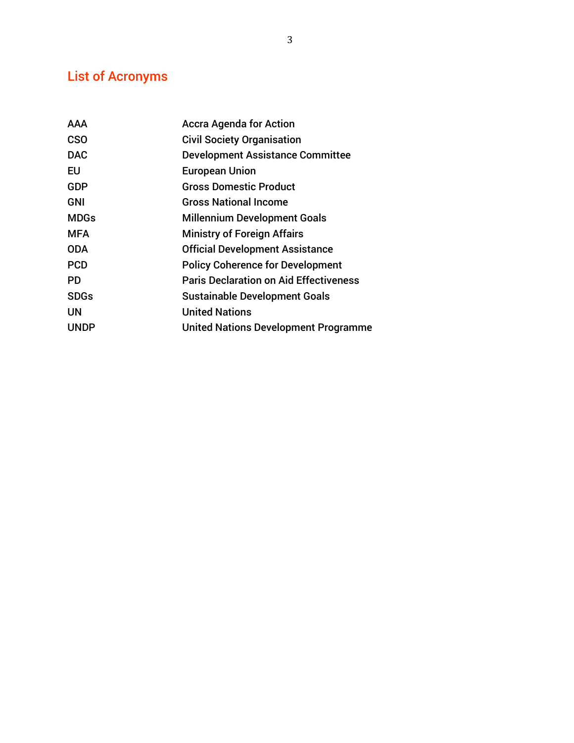# List of Acronyms

| <b>AAA</b>  | <b>Accra Agenda for Action</b>                |
|-------------|-----------------------------------------------|
| <b>CSO</b>  | <b>Civil Society Organisation</b>             |
| <b>DAC</b>  | <b>Development Assistance Committee</b>       |
| EU          | <b>European Union</b>                         |
| <b>GDP</b>  | <b>Gross Domestic Product</b>                 |
| <b>GNI</b>  | <b>Gross National Income</b>                  |
| <b>MDGs</b> | <b>Millennium Development Goals</b>           |
| <b>MFA</b>  | <b>Ministry of Foreign Affairs</b>            |
| <b>ODA</b>  | <b>Official Development Assistance</b>        |
| <b>PCD</b>  | <b>Policy Coherence for Development</b>       |
| PD          | <b>Paris Declaration on Aid Effectiveness</b> |
| <b>SDGs</b> | <b>Sustainable Development Goals</b>          |
| UN          | <b>United Nations</b>                         |
| <b>UNDP</b> | <b>United Nations Development Programme</b>   |
|             |                                               |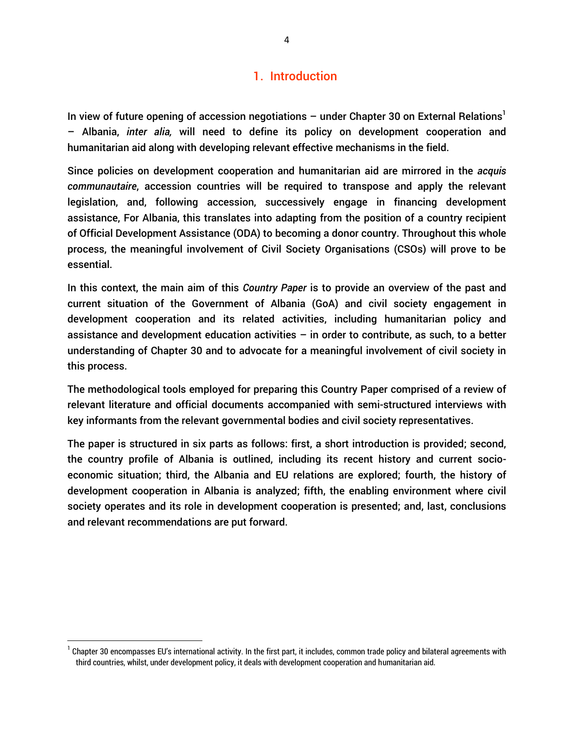## 1. Introduction

In view of future opening of accession negotiations – under Chapter 30 on External Relations<sup>1</sup> – Albania, *inter alia,* will need to define its policy on development cooperation and humanitarian aid along with developing relevant effective mechanisms in the field.

Since policies on development cooperation and humanitarian aid are mirrored in the *acquis communautaire*, accession countries will be required to transpose and apply the relevant legislation, and, following accession, successively engage in financing development assistance, For Albania, this translates into adapting from the position of a country recipient of Official Development Assistance (ODA) to becoming a donor country. Throughout this whole process, the meaningful involvement of Civil Society Organisations (CSOs) will prove to be essential.

In this context, the main aim of this *Country Paper* is to provide an overview of the past and current situation of the Government of Albania (GoA) and civil society engagement in development cooperation and its related activities, including humanitarian policy and assistance and development education activities  $-$  in order to contribute, as such, to a better understanding of Chapter 30 and to advocate for a meaningful involvement of civil society in this process.

The methodological tools employed for preparing this Country Paper comprised of a review of relevant literature and official documents accompanied with semi-structured interviews with key informants from the relevant governmental bodies and civil society representatives.

The paper is structured in six parts as follows: first, a short introduction is provided; second, the country profile of Albania is outlined, including its recent history and current socioeconomic situation; third, the Albania and EU relations are explored; fourth, the history of development cooperation in Albania is analyzed; fifth, the enabling environment where civil society operates and its role in development cooperation is presented; and, last, conclusions and relevant recommendations are put forward.

 $^{\rm 1}$  Chapter 30 encompasses EU's international activity. In the first part, it includes, common trade policy and bilateral agreements with third countries, whilst, under development policy, it deals with development cooperation and humanitarian aid.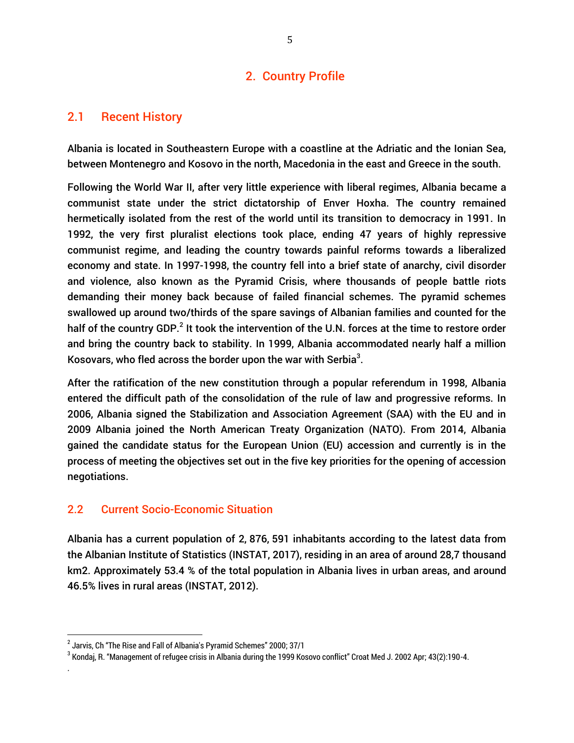## 2. Country Profile

## 2.1 Recent History

Albania is located in Southeastern Europe with a coastline at the Adriatic and the Ionian Sea, between Montenegro and Kosovo in the north, Macedonia in the east and Greece in the south.

Following the World War II, after very little experience with liberal regimes, Albania became a communist state under the strict dictatorship of Enver Hoxha. The country remained hermetically isolated from the rest of the world until its transition to democracy in 1991. In 1992, the very first pluralist elections took place, ending 47 years of highly repressive communist regime, and leading the country towards painful reforms towards a liberalized economy and state. In 1997-1998, the country fell into a brief state of anarchy, civil disorder and violence, also known as the Pyramid Crisis, where thousands of people battle riots demanding their money back because of failed financial schemes. The pyramid schemes swallowed up around two/thirds of the spare savings of Albanian families and counted for the half of the country GDP.<sup>2</sup> It took the intervention of the U.N. forces at the time to restore order and bring the country back to stability. In 1999, Albania accommodated nearly half a million Kosovars, who fled across the border upon the war with Serbia $^3$ .

After the ratification of the new constitution through a popular referendum in 1998, Albania entered the difficult path of the consolidation of the rule of law and progressive reforms. In 2006, Albania signed the Stabilization and Association Agreement (SAA) with the EU and in 2009 Albania joined the North American Treaty Organization (NATO). From 2014, Albania gained the candidate status for the European Union (EU) accession and currently is in the process of meeting the objectives set out in the five key priorities for the opening of accession negotiations.

## 2.2 Current Socio-Economic Situation

Albania has a current population of 2, 876, 591 inhabitants according to the latest data from the Albanian Institute of Statistics (INSTAT, 2017), residing in an area of around 28,7 thousand km2. Approximately 53.4 % of the total population in Albania lives in urban areas, and around 46.5% lives in rural areas (INSTAT, 2012).

 $\overline{\phantom{a}}$ 

.

 $^2$  Jarvis, Ch "The Rise and Fall of Albania's Pyramid Schemes" 2000; 37/1

 $^3$  Kondaj, R. "Management of refugee crisis in Albania during the 1999 Kosovo conflict" Croat Med J. 2002 Apr; 43(2):190-4.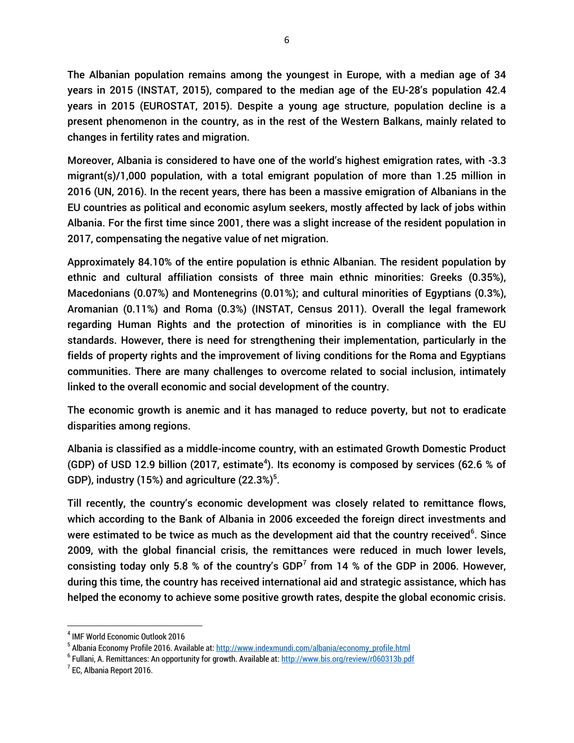The Albanian population remains among the youngest in Europe, with a median age of 34 years in 2015 (INSTAT, 2015), compared to the median age of the EU-28's population 42.4 years in 2015 (EUROSTAT, 2015). Despite a young age structure, population decline is a present phenomenon in the country, as in the rest of the Western Balkans, mainly related to changes in fertility rates and migration.

Moreover, Albania is considered to have one of the world's highest emigration rates, with -3.3 migrant(s)/1,000 population, with a total emigrant population of more than 1.25 million in 2016 (UN, 2016). In the recent years, there has been a massive emigration of Albanians in the EU countries as political and economic asylum seekers, mostly affected by lack of jobs within Albania. For the first time since 2001, there was a slight increase of the resident population in 2017, compensating the negative value of net migration.

Approximately 84.10% of the entire population is ethnic Albanian. The resident population by ethnic and cultural affiliation consists of three main ethnic minorities: Greeks (0.35%), Macedonians (0.07%) and Montenegrins (0.01%); and cultural minorities of Egyptians (0.3%), Aromanian (0.11%) and Roma (0.3%) (INSTAT, Census 2011). Overall the legal framework regarding Human Rights and the protection of minorities is in compliance with the EU standards. However, there is need for strengthening their implementation, particularly in the fields of property rights and the improvement of living conditions for the Roma and Egyptians communities. There are many challenges to overcome related to social inclusion, intimately linked to the overall economic and social development of the country.

The economic growth is anemic and it has managed to reduce poverty, but not to eradicate disparities among regions.

Albania is classified as a middle-income country, with an estimated Growth Domestic Product (GDP) of USD 12.9 billion (2017, estimate<sup>4</sup>). Its economy is composed by services (62.6 % of GDP), industry (15%) and agriculture  $(22.3\%)^5$ .

Till recently, the country's economic development was closely related to remittance flows, which according to the Bank of Albania in 2006 exceeded the foreign direct investments and were estimated to be twice as much as the development aid that the country received $^6$ . Since 2009, with the global financial crisis, the remittances were reduced in much lower levels, consisting today only 5.8 % of the country's GDP<sup>7</sup> from 14 % of the GDP in 2006. However, during this time, the country has received international aid and strategic assistance, which has helped the economy to achieve some positive growth rates, despite the global economic crisis.

 $\overline{\phantom{a}}$ 4 IMF World Economic Outlook 2016

<sup>&</sup>lt;sup>5</sup> Albania Economy Profile 2016. Available at: <u>http://www.indexmundi.com/albania/economy\_profile.html</u>

<sup>&</sup>lt;sup>6</sup> Fullani, A. Remittances: An opportunity for growth. Available at: <u>http://www.bis.org/review/r060313b.pdf</u>

 $<sup>7</sup>$  EC, Albania Report 2016.</sup>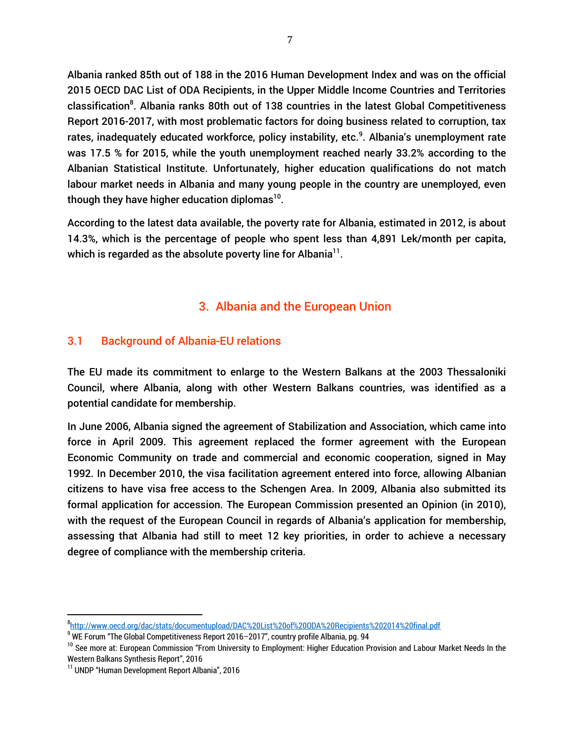Albania ranked 85th out of 188 in the 2016 Human Development Index and was on the official 2015 OECD DAC List of ODA Recipients, in the Upper Middle Income Countries and Territories classification<sup>8</sup>. Albania ranks 80th out of 138 countries in the latest Global Competitiveness Report 2016-2017, with most problematic factors for doing business related to corruption, tax rates, inadequately educated workforce, policy instability, etc.<sup>9</sup>. Albania's unemployment rate was 17.5 % for 2015, while the youth unemployment reached nearly 33.2% according to the Albanian Statistical Institute. Unfortunately, higher education qualifications do not match labour market needs in Albania and many young people in the country are unemployed, even though they have higher education diplomas $^{\rm 10}.$ 

According to the latest data available, the poverty rate for Albania, estimated in 2012, is about 14.3%, which is the percentage of people who spent less than 4,891 Lek/month per capita, which is regarded as the absolute poverty line for Albania $^{\rm 11}.$ 

## 3. Albania and the European Union

## 3.1 Background of Albania-EU relations

The EU made its commitment to enlarge to the Western Balkans at the 2003 Thessaloniki Council, where Albania, along with other Western Balkans countries, was identified as a potential candidate for membership.

In June 2006, Albania signed the agreement of Stabilization and Association, which came into force in April 2009. This agreement replaced the former agreement with the European Economic Community on trade and commercial and economic cooperation, signed in May 1992. In December 2010, the visa facilitation agreement entered into force, allowing Albanian citizens to have visa free access to the Schengen Area. In 2009, Albania also submitted its formal application for accession. The European Commission presented an Opinion (in 2010), with the request of the European Council in regards of Albania's application for membership, assessing that Albania had still to meet 12 key priorities, in order to achieve a necessary degree of compliance with the membership criteria.

 8 <http://www.oecd.org/dac/stats/documentupload/DAC%20List%20of%20ODA%20Recipients%202014%20final.pdf>

 $9$  WE Forum "The Global Competitiveness Report 2016–2017", country profile Albania, pg. 94

<sup>&</sup>lt;sup>10</sup> See more at: European Commission "From University to Employment: Higher Education Provision and Labour Market Needs In the Western Balkans Synthesis Report", 2016

<sup>&</sup>lt;sup>11</sup> UNDP "Human Development Report Albania", 2016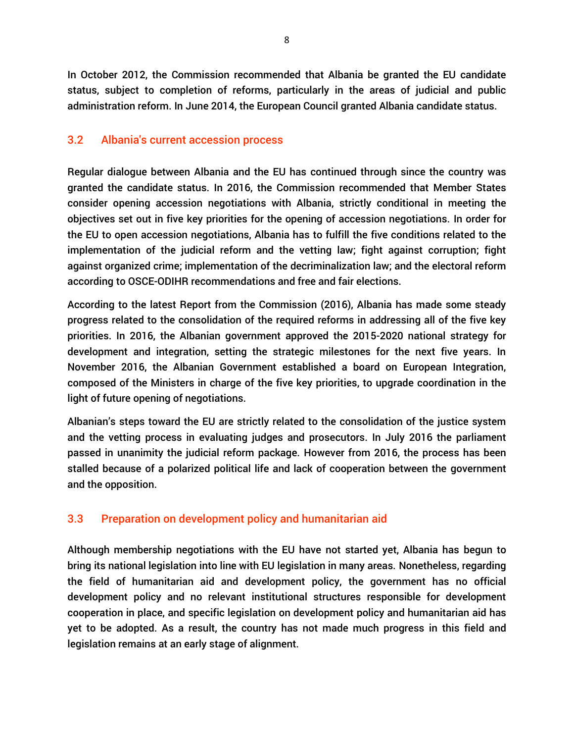In October 2012, the Commission recommended that Albania be granted the EU candidate status, subject to completion of reforms, particularly in the areas of judicial and public administration reform. In June 2014, the European Council granted Albania candidate status.

## 3.2 Albania's current accession process

Regular dialogue between Albania and the EU has continued through since the country was granted the candidate status. In 2016, the Commission recommended that Member States consider opening accession negotiations with Albania, strictly conditional in meeting the objectives set out in five key priorities for the opening of accession negotiations. In order for the EU to open accession negotiations, Albania has to fulfill the five conditions related to the implementation of the judicial reform and the vetting law; fight against corruption; fight against organized crime; implementation of the decriminalization law; and the electoral reform according to OSCE-ODIHR recommendations and free and fair elections.

According to the latest Report from the Commission (2016), Albania has made some steady progress related to the consolidation of the required reforms in addressing all of the five key priorities. In 2016, the Albanian government approved the 2015-2020 national strategy for development and integration, setting the strategic milestones for the next five years. In November 2016, the Albanian Government established a board on European Integration, composed of the Ministers in charge of the five key priorities, to upgrade coordination in the light of future opening of negotiations.

Albanian's steps toward the EU are strictly related to the consolidation of the justice system and the vetting process in evaluating judges and prosecutors. In July 2016 the parliament passed in unanimity the judicial reform package. However from 2016, the process has been stalled because of a polarized political life and lack of cooperation between the government and the opposition.

## 3.3 Preparation on development policy and humanitarian aid

Although membership negotiations with the EU have not started yet, Albania has begun to bring its national legislation into line with EU legislation in many areas. Nonetheless, regarding the field of humanitarian aid and development policy, the government has no official development policy and no relevant institutional structures responsible for development cooperation in place, and specific legislation on development policy and humanitarian aid has yet to be adopted. As a result, the country has not made much progress in this field and legislation remains at an early stage of alignment.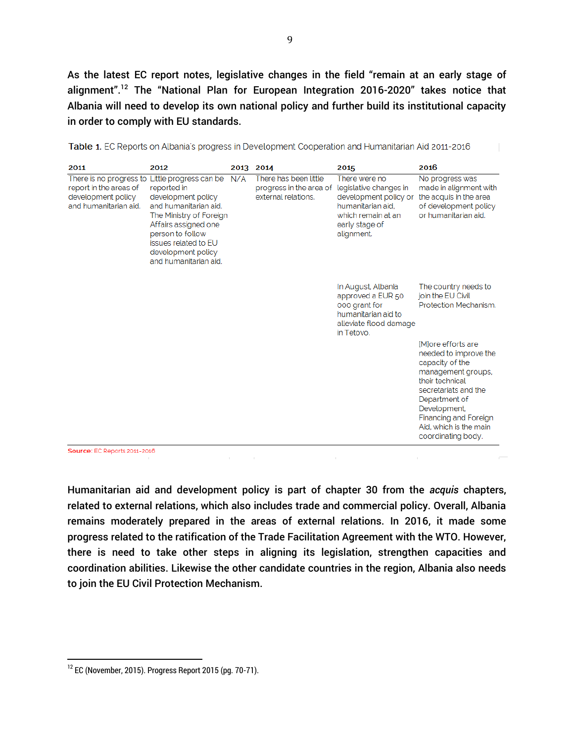As the latest EC report notes, legislative changes in the field "remain at an early stage of alignment".<sup>12</sup> The "National Plan for European Integration 2016-2020" takes notice that Albania will need to develop its own national policy and further build its institutional capacity in order to comply with EU standards.

| 2011                                                                                             | 2012                                                                                                                                                                                                                               | 2013 | 2014                                                                    | 2015                                                                                                                                        | 2016                                                                                                                                                                                                                                                   |
|--------------------------------------------------------------------------------------------------|------------------------------------------------------------------------------------------------------------------------------------------------------------------------------------------------------------------------------------|------|-------------------------------------------------------------------------|---------------------------------------------------------------------------------------------------------------------------------------------|--------------------------------------------------------------------------------------------------------------------------------------------------------------------------------------------------------------------------------------------------------|
| There is no progress to<br>report in the areas of<br>development policy<br>and humanitarian aid. | Little progress can be<br>reported in<br>development policy<br>and humanitarian aid.<br>The Ministry of Foreign<br>Affairs assigned one<br>person to follow<br>issues related to EU<br>development policy<br>and humanitarian aid. | N/A  | There has been little<br>progress in the area of<br>external relations. | There were no<br>legislative changes in<br>development policy or<br>humanitarian aid.<br>which remain at an<br>early stage of<br>alignment. | No progress was<br>made in alignment with<br>the acquis in the area<br>of development policy<br>or humanitarian aid.                                                                                                                                   |
|                                                                                                  |                                                                                                                                                                                                                                    |      |                                                                         | In August, Albania<br>approved a EUR 50<br>000 grant for<br>humanitarian aid to<br>alleviate flood damage<br>in Tetovo.                     | The country needs to<br>join the EU Civil<br>Protection Mechanism.                                                                                                                                                                                     |
|                                                                                                  |                                                                                                                                                                                                                                    |      |                                                                         |                                                                                                                                             | <b>IMore</b> efforts are<br>needed to improve the<br>capacity of the<br>management groups,<br>their technical<br>secretariats and the<br>Department of<br>Development,<br><b>Financing and Foreign</b><br>Aid, which is the main<br>coordinating body. |

Table 1. EC Reports on Albania's progress in Development Cooperation and Humanitarian Aid 2011-2016

Humanitarian aid and development policy is part of chapter 30 from the *acquis* chapters, related to external relations, which also includes trade and commercial policy. Overall, Albania remains moderately prepared in the areas of external relations. In 2016, it made some progress related to the ratification of the Trade Facilitation Agreement with the WTO. However, there is need to take other steps in aligning its legislation, strengthen capacities and coordination abilities. Likewise the other candidate countries in the region, Albania also needs to join the EU Civil Protection Mechanism.

 $12$  EC (November, 2015). Progress Report 2015 (pg. 70-71).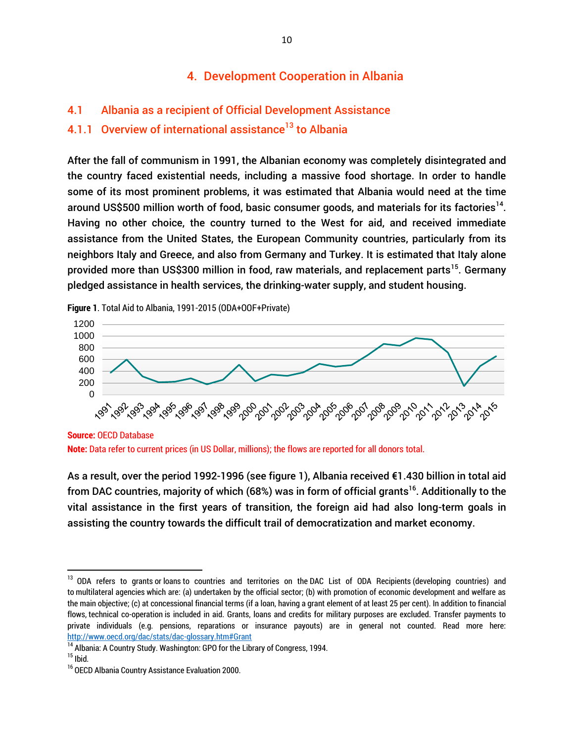## 4. Development Cooperation in Albania

## 4.1 Albania as a recipient of Official Development Assistance

## 4.1.1 Overview of international assistance<sup>13</sup> to Albania

After the fall of communism in 1991, the Albanian economy was completely disintegrated and the country faced existential needs, including a massive food shortage. In order to handle some of its most prominent problems, it was estimated that Albania would need at the time around US\$500 million worth of food, basic consumer goods, and materials for its factories<sup>14</sup>. Having no other choice, the country turned to the West for aid, and received immediate assistance from the United States, the European Community countries, particularly from its neighbors Italy and Greece, and also from Germany and Turkey. It is estimated that Italy alone provided more than US\$300 million in food, raw materials, and replacement parts<sup>15</sup>. Germany pledged assistance in health services, the drinking-water supply, and student housing.

**Figure 1**. Total Aid to Albania, 1991-2015 (ODA+OOF+Private)



**Note:** Data refer to current prices (in US Dollar, millions); the flows are reported for all donors total.

As a result, over the period 1992-1996 (see figure 1), Albania received €1.430 billion in total aid from DAC countries, majority of which (68%) was in form of official grants<sup>16</sup>. Additionally to the vital assistance in the first years of transition, the foreign aid had also long-term goals in assisting the country towards the difficult trail of democratization and market economy.

<sup>&</sup>lt;sup>13</sup> [ODA refers to grants](http://www.oecd.org/dac/stats/dac-glossary.htm#Grant) or [loans](http://www.oecd.org/dac/stats/dac-glossary.htm#Loans) to countries and territories on the [DAC List of ODA Recipients](http://www.oecd.org/dac/stats/dac-glossary.htm#DAC_List) (developing countries) and to [multilateral agencies](http://www.oecd.org/dac/stats/dac-glossary.htm#Multi_Agencies) which are: (a) undertaken by the official sector; (b) with promotion of economic development and welfare as the main objective; (c) at concessional financial terms (if a [loan,](http://www.oecd.org/dac/stats/dac-glossary.htm#Loans) having a [grant element](http://www.oecd.org/dac/stats/dac-glossary.htm#Grant_Element) of at least 25 per cent). In addition to financial flows, [technical co-operation](http://www.oecd.org/dac/stats/dac-glossary.htm#TC) is included in aid. Grants, loans and credits for military purposes are excluded. Transfer payments to private individuals (e.g. pensions, reparations or insurance payouts) are in general not counted. Read more here: <http://www.oecd.org/dac/stats/dac-glossary.htm#Grant>

<sup>&</sup>lt;sup>14</sup> Albania: A Country Study. Washington: GPO for the Library of Congress, 1994.

 $15$  Ibid.

<sup>&</sup>lt;sup>16</sup> OECD Albania Country Assistance Evaluation 2000.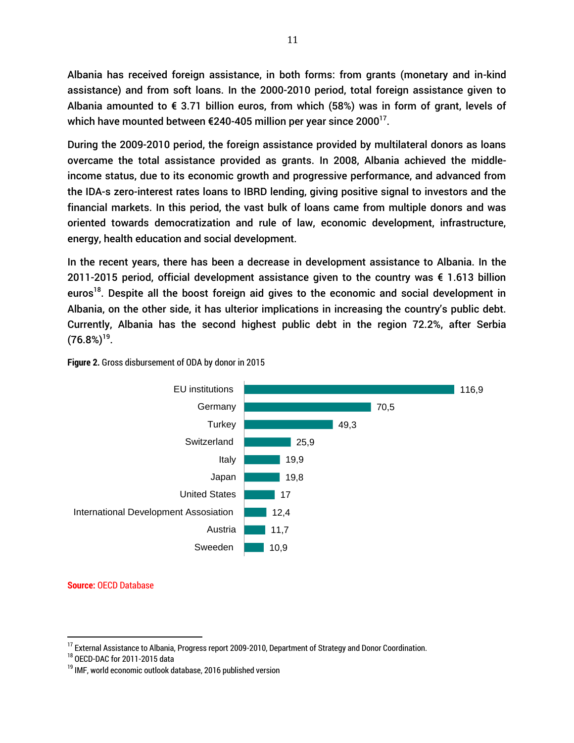Albania has received foreign assistance, in both forms: from grants (monetary and in-kind assistance) and from soft loans. In the 2000-2010 period, total foreign assistance given to Albania amounted to  $\epsilon$  3.71 billion euros, from which (58%) was in form of grant, levels of which have mounted between €240-405 million per year since 2000 $^{17}$ .

During the 2009-2010 period, the foreign assistance provided by multilateral donors as loans overcame the total assistance provided as grants. In 2008, Albania achieved the middleincome status, due to its economic growth and progressive performance, and advanced from the IDA-s zero-interest rates loans to IBRD lending, giving positive signal to investors and the financial markets. In this period, the vast bulk of loans came from multiple donors and was oriented towards democratization and rule of law, economic development, infrastructure, energy, health education and social development.

In the recent years, there has been a decrease in development assistance to Albania. In the 2011-2015 period, official development assistance given to the country was € 1.613 billion euros<sup>18</sup>. Despite all the boost foreign aid gives to the economic and social development in Albania, on the other side, it has ulterior implications in increasing the country's public debt. Currently, Albania has the second highest public debt in the region 72.2%, after Serbia  $(76.8\%)^{19}$ .



#### **Figure 2.** Gross disbursement of ODA by donor in 2015

**Source:** OECD Database

l

<sup>&</sup>lt;sup>17</sup> External Assistance to Albania, Progress report 2009-2010, Department of Strategy and Donor Coordination.

<sup>18</sup> OECD-DAC for 2011-2015 data

<sup>&</sup>lt;sup>19</sup> IMF, world economic outlook database, 2016 published version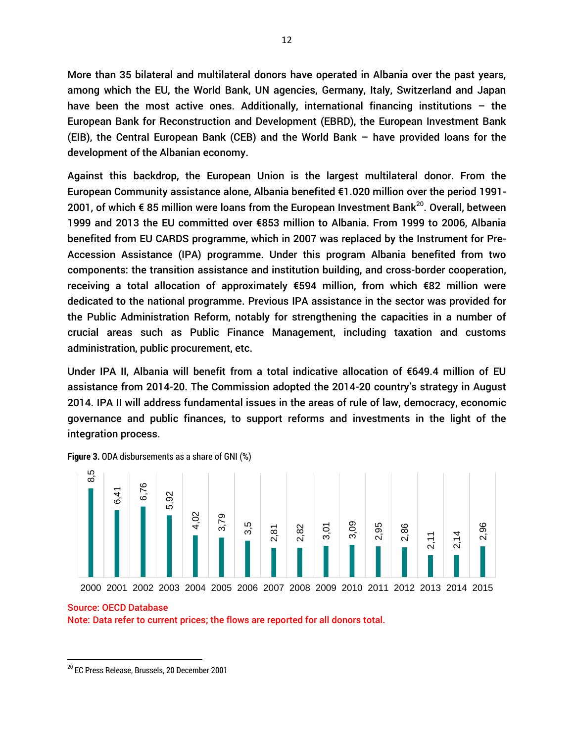More than 35 bilateral and multilateral donors have operated in Albania over the past years, among which the EU, the World Bank, UN agencies, Germany, Italy, Switzerland and Japan have been the most active ones. Additionally, international financing institutions – the European Bank for Reconstruction and Development (EBRD), the European Investment Bank (EIB), the Central European Bank (CEB) and the World Bank – have provided loans for the development of the Albanian economy.

Against this backdrop, the European Union is the largest multilateral donor. From the European Community assistance alone, Albania benefited €1.020 million over the period 1991- 2001, of which € 85 million were loans from the European Investment Bank<sup>20</sup>. Overall, between 1999 and 2013 the EU committed over €853 million to Albania. From 1999 to 2006, Albania benefited from EU CARDS programme, which in 2007 was replaced by the Instrument for Pre-Accession Assistance (IPA) programme. Under this program Albania benefited from two components: the transition assistance and institution building, and cross-border cooperation, receiving a total allocation of approximately €594 million, from which €82 million were dedicated to the national programme. Previous IPA assistance in the sector was provided for the Public Administration Reform, notably for strengthening the capacities in a number of crucial areas such as Public Finance Management, including taxation and customs administration, public procurement, etc.

Under IPA II, Albania will benefit from a total indicative allocation of €649.4 million of EU assistance from 2014-20. The Commission adopted the 2014-20 country's strategy in August 2014. IPA II will address fundamental issues in the areas of rule of law, democracy, economic governance and public finances, to support reforms and investments in the light of the integration process.



**Figure 3.** ODA disbursements as a share of GNI (%)

Note: Data refer to current prices; the flows are reported for all donors total.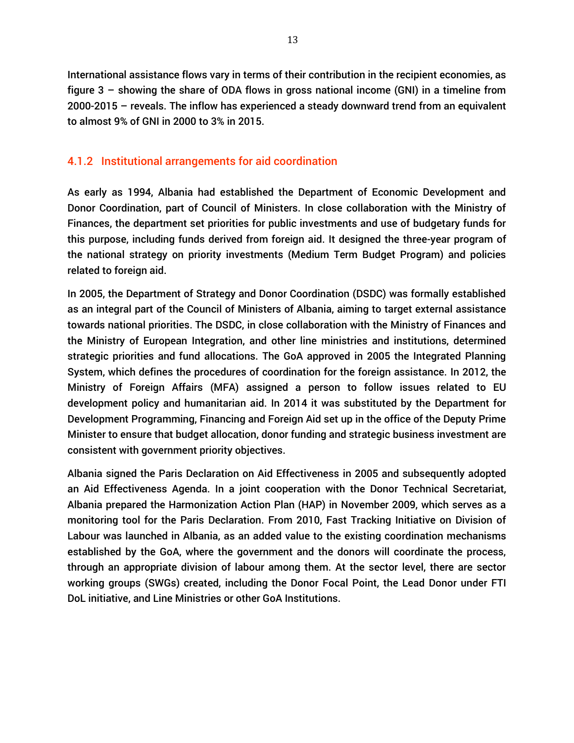International assistance flows vary in terms of their contribution in the recipient economies, as figure 3 – showing the share of ODA flows in gross national income (GNI) in a timeline from 2000-2015 – reveals. The inflow has experienced a steady downward trend from an equivalent to almost 9% of GNI in 2000 to 3% in 2015.

## 4.1.2 Institutional arrangements for aid coordination

As early as 1994, Albania had established the Department of Economic Development and Donor Coordination, part of Council of Ministers. In close collaboration with the Ministry of Finances, the department set priorities for public investments and use of budgetary funds for this purpose, including funds derived from foreign aid. It designed the three-year program of the national strategy on priority investments (Medium Term Budget Program) and policies related to foreign aid.

In 2005, the Department of Strategy and Donor Coordination (DSDC) was formally established as an integral part of the Council of Ministers of Albania, aiming to target external assistance towards national priorities. The DSDC, in close collaboration with the Ministry of Finances and the Ministry of European Integration, and other line ministries and institutions, determined strategic priorities and fund allocations. The GoA approved in 2005 the Integrated Planning System, which defines the procedures of coordination for the foreign assistance. In 2012, the Ministry of Foreign Affairs (MFA) assigned a person to follow issues related to EU development policy and humanitarian aid. In 2014 it was substituted by the Department for Development Programming, Financing and Foreign Aid set up in the office of the Deputy Prime Minister to ensure that budget allocation, donor funding and strategic business investment are consistent with government priority objectives.

Albania signed the Paris Declaration on Aid Effectiveness in 2005 and subsequently adopted an Aid Effectiveness Agenda. In a joint cooperation with the Donor Technical Secretariat, Albania prepared the Harmonization Action Plan (HAP) in November 2009, which serves as a monitoring tool for the Paris Declaration. From 2010, Fast Tracking Initiative on Division of Labour was launched in Albania, as an added value to the existing coordination mechanisms established by the GoA, where the government and the donors will coordinate the process, through an appropriate division of labour among them. At the sector level, there are sector working groups (SWGs) created, including the Donor Focal Point, the Lead Donor under FTI DoL initiative, and Line Ministries or other GoA Institutions.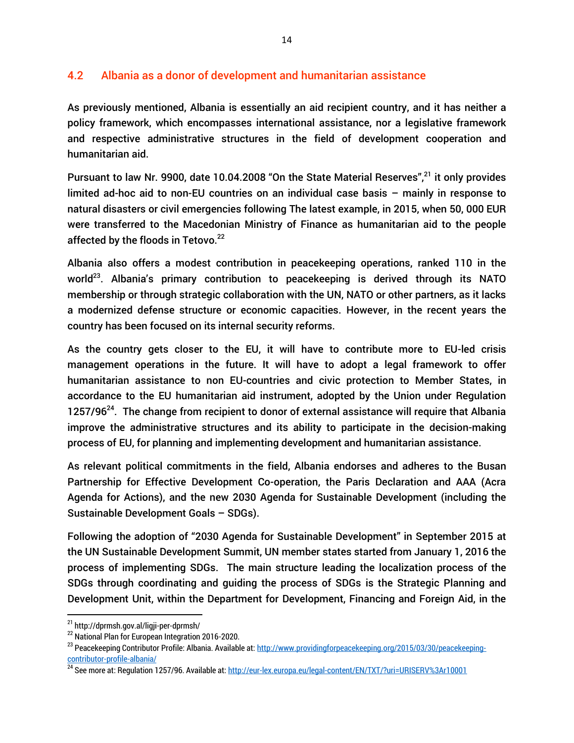## 4.2 Albania as a donor of development and humanitarian assistance

As previously mentioned, Albania is essentially an aid recipient country, and it has neither a policy framework, which encompasses international assistance, nor a legislative framework and respective administrative structures in the field of development cooperation and humanitarian aid.

Pursuant to law Nr. 9900, date 10.04.2008 "On the State Material Reserves",<sup>21</sup> it only provides limited ad-hoc aid to non-EU countries on an individual case basis – mainly in response to natural disasters or civil emergencies following The latest example, in 2015, when 50, 000 EUR were transferred to the Macedonian Ministry of Finance as humanitarian aid to the people affected by the floods in Tetovo. $^{22}$ 

Albania also offers a modest contribution in peacekeeping operations, ranked 110 in the world<sup>23</sup>. Albania's primary contribution to peacekeeping is derived through its NATO membership or through strategic collaboration with the UN, NATO or other partners, as it lacks a modernized defense structure or economic capacities. However, in the recent years the country has been focused on its internal security reforms.

As the country gets closer to the EU, it will have to contribute more to EU-led crisis management operations in the future. It will have to adopt a legal framework to offer humanitarian assistance to non EU-countries and civic protection to Member States, in accordance to the EU humanitarian aid instrument, adopted by the Union under Regulation 1257/96 $^{24}$ . The change from recipient to donor of external assistance will require that Albania improve the administrative structures and its ability to participate in the decision-making process of EU, for planning and implementing development and humanitarian assistance.

As relevant political commitments in the field, Albania endorses and adheres to the Busan Partnership for Effective Development Co-operation, the Paris Declaration and AAA (Acra Agenda for Actions), and the new 2030 Agenda for Sustainable Development (including the Sustainable Development Goals – SDGs).

Following the adoption of "2030 Agenda for Sustainable Development" in September 2015 at the UN Sustainable Development Summit, UN member states started from January 1, 2016 the process of implementing SDGs. The main structure leading the localization process of the SDGs through coordinating and guiding the process of SDGs is the Strategic Planning and Development Unit, within the Department for Development, Financing and Foreign Aid, in the

 $\overline{a}$ 

<sup>&</sup>lt;sup>21</sup> <http://dprmsh.gov.al/ligji-per-dprmsh/>

<sup>22</sup> National Plan for European Integration 2016-2020.

<sup>&</sup>lt;sup>23</sup> Peacekeeping Contributor Profile: Albania. Available at[: http://www.providingforpeacekeeping.org/2015/03/30/peacekeeping](http://www.providingforpeacekeeping.org/2015/03/30/peacekeeping-contributor-profile-albania/)[contributor-profile-albania/](http://www.providingforpeacekeeping.org/2015/03/30/peacekeeping-contributor-profile-albania/)

<sup>&</sup>lt;sup>24</sup> See more at: Regulation 1257/96. Available at[: http://eur-lex.europa.eu/legal-content/EN/TXT/?uri=URISERV%3Ar10001](http://eur-lex.europa.eu/legal-content/EN/TXT/?uri=URISERV%3Ar10001)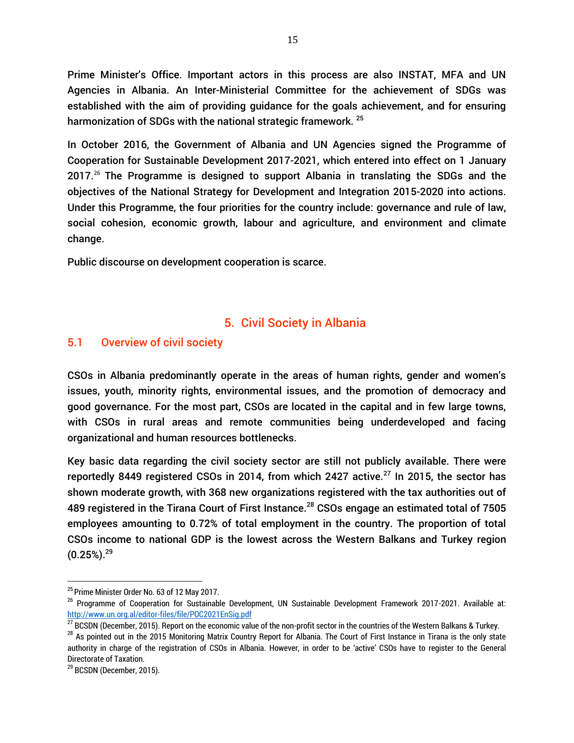Prime Minister's Office. Important actors in this process are also INSTAT, MFA and UN Agencies in Albania. An Inter-Ministerial Committee for the achievement of SDGs was established with the aim of providing guidance for the goals achievement, and for ensuring harmonization of SDGs with the national strategic framework.<sup>25</sup>

In October 2016, the Government of Albania and UN Agencies signed the Programme of Cooperation for Sustainable Development 2017-2021, which entered into effect on 1 January 2017.<sup>26</sup> The Programme is designed to support Albania in translating the SDGs and the objectives of the National Strategy for Development and Integration 2015-2020 into actions. Under this Programme, the four priorities for the country include: governance and rule of law, social cohesion, economic growth, labour and agriculture, and environment and climate change.

Public discourse on development cooperation is scarce.

## 5. Civil Society in Albania

## 5.1 Overview of civil society

CSOs in Albania predominantly operate in the areas of human rights, gender and women's issues, youth, minority rights, environmental issues, and the promotion of democracy and good governance. For the most part, CSOs are located in the capital and in few large towns, with CSOs in rural areas and remote communities being underdeveloped and facing organizational and human resources bottlenecks.

Key basic data regarding the civil society sector are still not publicly available. There were reportedly 8449 registered CSOs in 2014, from which 2427 active.<sup>27</sup> In 2015, the sector has shown moderate growth, with 368 new organizations registered with the tax authorities out of 489 registered in the Tirana Court of First Instance.<sup>28</sup> CSOs engage an estimated total of 7505 employees amounting to 0.72% of total employment in the country. The proportion of total CSOs income to national GDP is the lowest across the Western Balkans and Turkey region  $(0.25\%)$ .<sup>29</sup>

 $\overline{a}$ 

<sup>&</sup>lt;sup>25</sup> Prime Minister Order No. 63 of 12 May 2017.

<sup>&</sup>lt;sup>26</sup> Programme of Cooperation for Sustainable Development, UN Sustainable Development Framework 2017-2021. Available at: <http://www.un.org.al/editor-files/file/POC2021EnSig.pdf>

 $^{27}$  BCSDN (December, 2015). Report on the economic value of the non-profit sector in the countries of the Western Balkans & Turkey.

 $^{28}$  As pointed out in the 2015 Monitoring Matrix Country Report for Albania. The Court of First Instance in Tirana is the only state authority in charge of the registration of CSOs in Albania. However, in order to be 'active' CSOs have to register to the General Directorate of Taxation.

<sup>&</sup>lt;sup>29</sup> BCSDN (December, 2015).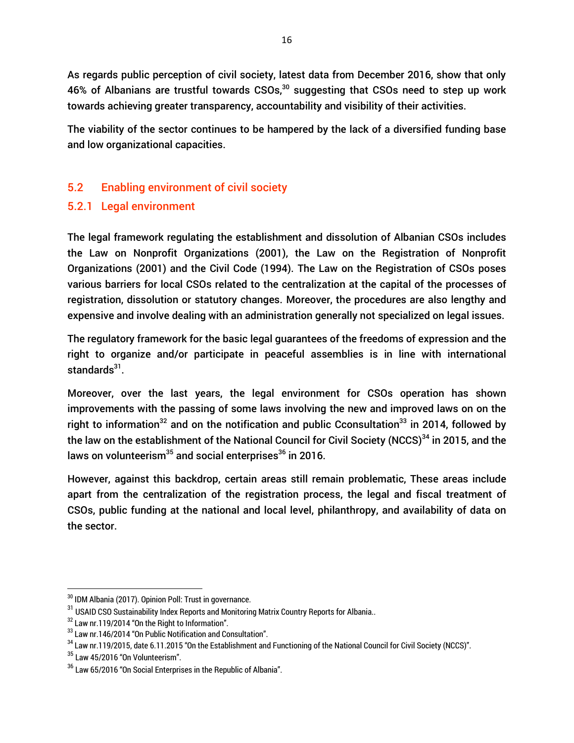As regards public perception of civil society, latest data from December 2016, show that only 46% of Albanians are trustful towards CSOs,<sup>30</sup> suggesting that CSOs need to step up work towards achieving greater transparency, accountability and visibility of their activities.

The viability of the sector continues to be hampered by the lack of a diversified funding base and low organizational capacities.

## 5.2 Enabling environment of civil society

## 5.2.1 Legal environment

The legal framework regulating the establishment and dissolution of Albanian CSOs includes the Law on Nonprofit Organizations (2001), the Law on the Registration of Nonprofit Organizations (2001) and the Civil Code (1994). The Law on the Registration of CSOs poses various barriers for local CSOs related to the centralization at the capital of the processes of registration, dissolution or statutory changes. Moreover, the procedures are also lengthy and expensive and involve dealing with an administration generally not specialized on legal issues.

The regulatory framework for the basic legal guarantees of the freedoms of expression and the right to organize and/or participate in peaceful assemblies is in line with international standards<sup>31</sup>.

Moreover, over the last years, the legal environment for CSOs operation has shown improvements with the passing of some laws involving the new and improved laws on on the right to information<sup>32</sup> and on the notification and public Cconsultation<sup>33</sup> in 2014, followed by the law on the establishment of the National Council for Civil Society (NCCS)<sup>34</sup> in 2015, and the laws on volunteerism<sup>35</sup> and social enterprises<sup>36</sup> in 2016.

However, against this backdrop, certain areas still remain problematic, These areas include apart from the centralization of the registration process, the legal and fiscal treatment of CSOs, public funding at the national and local level, philanthropy, and availability of data on the sector.

l

 $^{30}$  IDM Albania (2017). Opinion Poll: Trust in governance.

<sup>&</sup>lt;sup>31</sup> USAID CSO Sustainability Index Reports and Monitoring Matrix Country Reports for Albania..

<sup>&</sup>lt;sup>32</sup> Law nr.119/2014 "On the Right to Information".

<sup>33</sup> Law nr.146/2014 "On Public Notification and Consultation".

<sup>&</sup>lt;sup>34</sup> Law nr.119/2015, date 6.11.2015 "On the Establishment and Functioning of the National Council for Civil Society (NCCS)".

 $35$  Law 45/2016 "On Volunteerism".

 $36$  Law 65/2016 "On Social Enterprises in the Republic of Albania".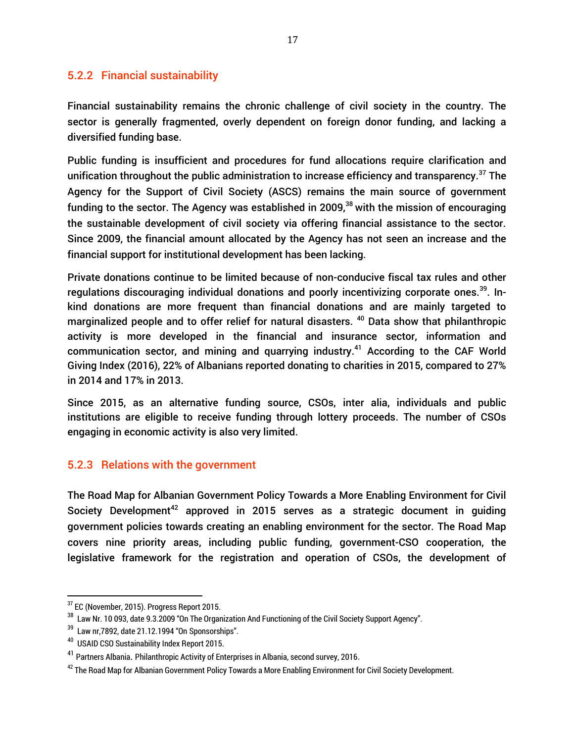## 5.2.2 Financial sustainability

Financial sustainability remains the chronic challenge of civil society in the country. The sector is generally fragmented, overly dependent on foreign donor funding, and lacking a diversified funding base.

Public funding is insufficient and procedures for fund allocations require clarification and unification throughout the public administration to increase efficiency and transparency.<sup>37</sup> The Agency for the Support of Civil Society (ASCS) remains the main source of government funding to the sector. The Agency was established in 2009.<sup>38</sup> with the mission of encouraging the sustainable development of civil society via offering financial assistance to the sector. Since 2009, the financial amount allocated by the Agency has not seen an increase and the financial support for institutional development has been lacking.

Private donations continue to be limited because of non-conducive fiscal tax rules and other regulations discouraging individual donations and poorly incentivizing corporate ones.<sup>39</sup>. Inkind donations are more frequent than financial donations and are mainly targeted to marginalized people and to offer relief for natural disasters.<sup>40</sup> Data show that philanthropic activity is more developed in the financial and insurance sector, information and communication sector, and mining and quarrying industry.<sup>41</sup> According to the CAF World Giving Index (2016), 22% of Albanians reported donating to charities in 2015, compared to 27% in 2014 and 17% in 2013.

Since 2015, as an alternative funding source, CSOs, inter alia, individuals and public institutions are eligible to receive funding through lottery proceeds. The number of CSOs engaging in economic activity is also very limited.

## 5.2.3 Relations with the government

The Road Map for Albanian Government Policy Towards a More Enabling Environment for Civil Society Development<sup>42</sup> approved in 2015 serves as a strategic document in guiding government policies towards creating an enabling environment for the sector. The Road Map covers nine priority areas, including public funding, government-CSO cooperation, the legislative framework for the registration and operation of CSOs, the development of

<sup>&</sup>lt;sup>37</sup> EC (November, 2015). Progress Report 2015.

 $^{\rm 38}$  Law Nr. 10 093, date 9.3.2009 "On The Organization And Functioning of the Civil Society Support Agency".

 $^{\rm 39}$  Law nr,7892, date 21.12.1994 "On Sponsorships".

<sup>&</sup>lt;sup>40</sup> USAID CSO Sustainability Index Report 2015.

<sup>&</sup>lt;sup>41</sup> Partners Albania. [Philanthropic Activity of Enterprises in Albania, second survey, 2016](http://partnersalbania.org/publication/philanthropic-activity-of-enterprises-in-albania-second-survey-2016/).

 $^{42}$  The Road Map for Albanian Government Policy Towards a More Enabling Environment for Civil Society Development.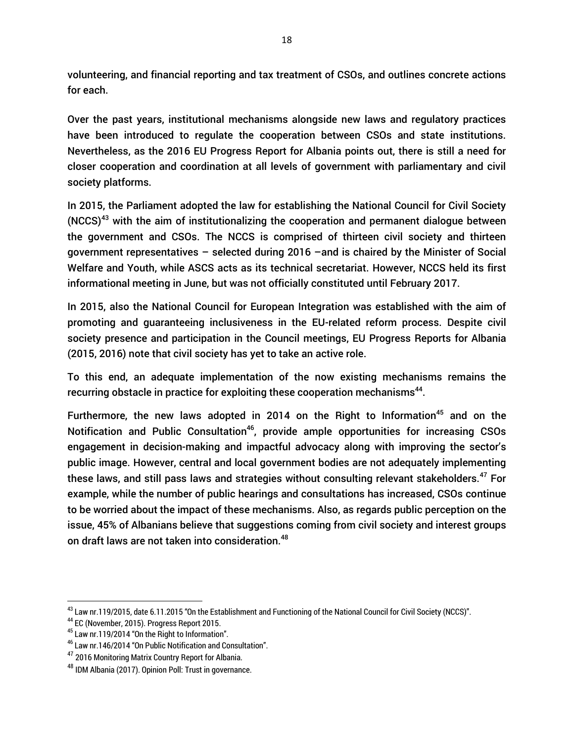volunteering, and financial reporting and tax treatment of CSOs, and outlines concrete actions for each.

Over the past years, institutional mechanisms alongside new laws and regulatory practices have been introduced to regulate the cooperation between CSOs and state institutions. Nevertheless, as the 2016 EU Progress Report for Albania points out, there is still a need for closer cooperation and coordination at all levels of government with parliamentary and civil society platforms.

In 2015, the Parliament adopted the law for establishing the National Council for Civil Society  $(NCCS)^{43}$  with the aim of institutionalizing the cooperation and permanent dialogue between the government and CSOs. The NCCS is comprised of thirteen civil society and thirteen government representatives – selected during 2016 –and is chaired by the Minister of Social Welfare and Youth, while ASCS acts as its technical secretariat. However, NCCS held its first informational meeting in June, but was not officially constituted until February 2017.

In 2015, also the National Council for European Integration was established with the aim of promoting and guaranteeing inclusiveness in the EU-related reform process. Despite civil society presence and participation in the Council meetings, EU Progress Reports for Albania (2015, 2016) note that civil society has yet to take an active role.

To this end, an adequate implementation of the now existing mechanisms remains the recurring obstacle in practice for exploiting these cooperation mechanisms<sup>44</sup>.

Furthermore, the new laws adopted in 2014 on the Right to Information<sup>45</sup> and on the Notification and Public Consultation<sup>46</sup>, provide ample opportunities for increasing CSOs engagement in decision-making and impactful advocacy along with improving the sector's public image. However, central and local government bodies are not adequately implementing these laws, and still pass laws and strategies without consulting relevant stakeholders.<sup>47</sup> For example, while the number of public hearings and consultations has increased, CSOs continue to be worried about the impact of these mechanisms. Also, as regards public perception on the issue, 45% of Albanians believe that suggestions coming from civil society and interest groups on draft laws are not taken into consideration.<sup>48</sup>

<sup>&</sup>lt;sup>43</sup> Law nr.119/2015, date 6.11.2015 "On the Establishment and Functioning of the National Council for Civil Society (NCCS)".

<sup>44</sup> EC (November, 2015). Progress Report 2015.

<sup>45</sup> Law nr.119/2014 "On the Right to Information".

<sup>46</sup> Law nr.146/2014 "On Public Notification and Consultation".

<sup>&</sup>lt;sup>47</sup> 2016 Monitoring Matrix Country Report for Albania.

<sup>48</sup> IDM Albania (2017). Opinion Poll: Trust in governance.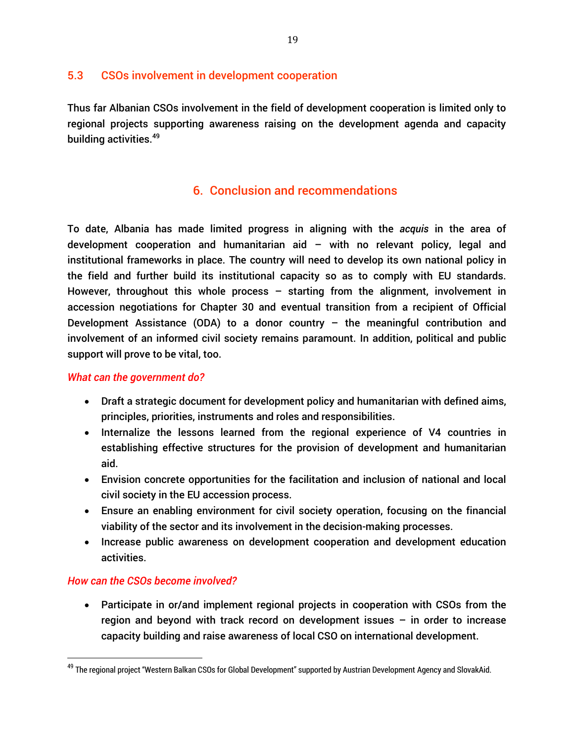## 5.3 CSOs involvement in development cooperation

Thus far Albanian CSOs involvement in the field of development cooperation is limited only to regional projects supporting awareness raising on the development agenda and capacity building activities.<sup>49</sup>

## 6. Conclusion and recommendations

To date, Albania has made limited progress in aligning with the *acquis* in the area of development cooperation and humanitarian aid – with no relevant policy, legal and institutional frameworks in place. The country will need to develop its own national policy in the field and further build its institutional capacity so as to comply with EU standards. However, throughout this whole process – starting from the alignment, involvement in accession negotiations for Chapter 30 and eventual transition from a recipient of Official Development Assistance (ODA) to a donor country  $-$  the meaningful contribution and involvement of an informed civil society remains paramount. In addition, political and public support will prove to be vital, too.

## *What can the government do?*

- Draft a strategic document for development policy and humanitarian with defined aims, principles, priorities, instruments and roles and responsibilities.
- Internalize the lessons learned from the regional experience of V4 countries in establishing effective structures for the provision of development and humanitarian aid.
- Envision concrete opportunities for the facilitation and inclusion of national and local civil society in the EU accession process.
- Ensure an enabling environment for civil society operation, focusing on the financial viability of the sector and its involvement in the decision-making processes.
- Increase public awareness on development cooperation and development education activities.

## *How can the CSOs become involved?*

 $\overline{a}$ 

 Participate in or/and implement regional projects in cooperation with CSOs from the region and beyond with track record on development issues – in order to increase capacity building and raise awareness of local CSO on international development.

<sup>&</sup>lt;sup>49</sup> The regional project "Western Balkan CSOs for Global Development" supported by Austrian Development Agency and SlovakAid.